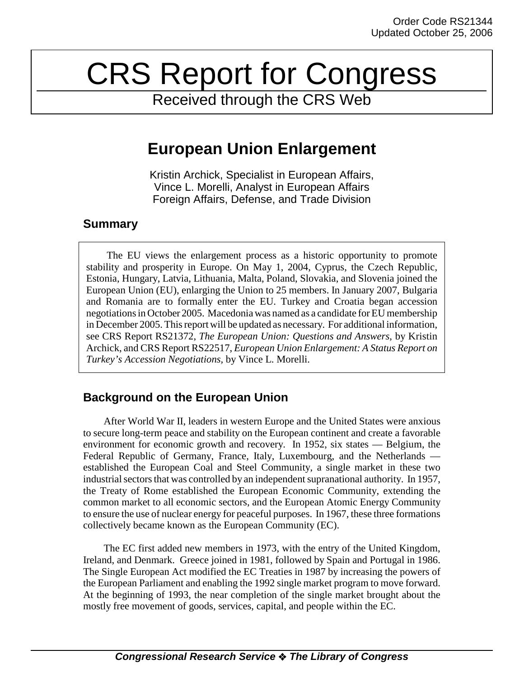# CRS Report for Congress

Received through the CRS Web

## **European Union Enlargement**

Kristin Archick, Specialist in European Affairs, Vince L. Morelli, Analyst in European Affairs Foreign Affairs, Defense, and Trade Division

## **Summary**

The EU views the enlargement process as a historic opportunity to promote stability and prosperity in Europe. On May 1, 2004, Cyprus, the Czech Republic, Estonia, Hungary, Latvia, Lithuania, Malta, Poland, Slovakia, and Slovenia joined the European Union (EU), enlarging the Union to 25 members. In January 2007, Bulgaria and Romania are to formally enter the EU. Turkey and Croatia began accession negotiations in October 2005. Macedonia was named as a candidate for EU membership in December 2005. This report will be updated as necessary. For additional information, see CRS Report RS21372, *The European Union: Questions and Answers*, by Kristin Archick, and CRS Report RS22517, *European Union Enlargement: A Status Report on Turkey's Accession Negotiations,* by Vince L. Morelli.

## **Background on the European Union**

After World War II, leaders in western Europe and the United States were anxious to secure long-term peace and stability on the European continent and create a favorable environment for economic growth and recovery. In 1952, six states — Belgium, the Federal Republic of Germany, France, Italy, Luxembourg, and the Netherlands established the European Coal and Steel Community, a single market in these two industrial sectors that was controlled by an independent supranational authority. In 1957, the Treaty of Rome established the European Economic Community, extending the common market to all economic sectors, and the European Atomic Energy Community to ensure the use of nuclear energy for peaceful purposes. In 1967, these three formations collectively became known as the European Community (EC).

The EC first added new members in 1973, with the entry of the United Kingdom, Ireland, and Denmark. Greece joined in 1981, followed by Spain and Portugal in 1986. The Single European Act modified the EC Treaties in 1987 by increasing the powers of the European Parliament and enabling the 1992 single market program to move forward. At the beginning of 1993, the near completion of the single market brought about the mostly free movement of goods, services, capital, and people within the EC.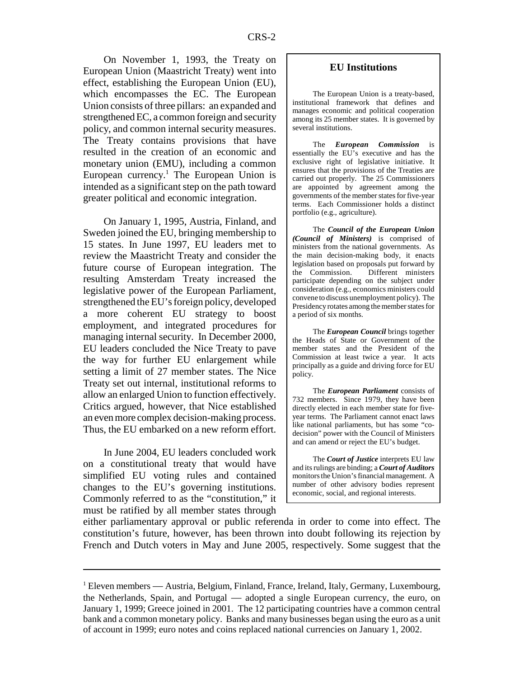On November 1, 1993, the Treaty on European Union (Maastricht Treaty) went into effect, establishing the European Union (EU), which encompasses the EC. The European Union consists of three pillars: an expanded and strengthened EC, a common foreign and security policy, and common internal security measures. The Treaty contains provisions that have resulted in the creation of an economic and monetary union (EMU), including a common European currency.<sup>1</sup> The European Union is intended as a significant step on the path toward greater political and economic integration.

On January 1, 1995, Austria, Finland, and Sweden joined the EU, bringing membership to 15 states. In June 1997, EU leaders met to review the Maastricht Treaty and consider the future course of European integration. The resulting Amsterdam Treaty increased the legislative power of the European Parliament, strengthened the EU's foreign policy, developed a more coherent EU strategy to boost employment, and integrated procedures for managing internal security. In December 2000, EU leaders concluded the Nice Treaty to pave the way for further EU enlargement while setting a limit of 27 member states. The Nice Treaty set out internal, institutional reforms to allow an enlarged Union to function effectively. Critics argued, however, that Nice established an even more complex decision-making process. Thus, the EU embarked on a new reform effort.

In June 2004, EU leaders concluded work on a constitutional treaty that would have simplified EU voting rules and contained changes to the EU's governing institutions. Commonly referred to as the "constitution," it must be ratified by all member states through

#### **EU Institutions**

The European Union is a treaty-based, institutional framework that defines and manages economic and political cooperation among its 25 member states. It is governed by several institutions.

The *European Commission* is essentially the EU's executive and has the exclusive right of legislative initiative. It ensures that the provisions of the Treaties are carried out properly. The 25 Commissioners are appointed by agreement among the governments of the member states for five-year terms. Each Commissioner holds a distinct portfolio (e.g., agriculture).

The *Council of the European Union (Council of Ministers)* is comprised of ministers from the national governments. As the main decision-making body, it enacts legislation based on proposals put forward by the Commission. Different ministers participate depending on the subject under consideration (e.g., economics ministers could convene to discuss unemployment policy). The Presidency rotates among the member states for a period of six months.

The *European Council* brings together the Heads of State or Government of the member states and the President of the Commission at least twice a year. It acts principally as a guide and driving force for EU policy.

The *European Parliament* consists of 732 members. Since 1979, they have been directly elected in each member state for fiveyear terms. The Parliament cannot enact laws like national parliaments, but has some "codecision" power with the Council of Ministers and can amend or reject the EU's budget.

The *Court of Justice* interprets EU law and its rulings are binding; a *Court of Auditors* monitors the Union's financial management. A number of other advisory bodies represent economic, social, and regional interests.

either parliamentary approval or public referenda in order to come into effect. The constitution's future, however, has been thrown into doubt following its rejection by French and Dutch voters in May and June 2005, respectively. Some suggest that the

<sup>&</sup>lt;sup>1</sup> Eleven members — Austria, Belgium, Finland, France, Ireland, Italy, Germany, Luxembourg, the Netherlands, Spain, and Portugal — adopted a single European currency, the euro, on January 1, 1999; Greece joined in 2001. The 12 participating countries have a common central bank and a common monetary policy. Banks and many businesses began using the euro as a unit of account in 1999; euro notes and coins replaced national currencies on January 1, 2002.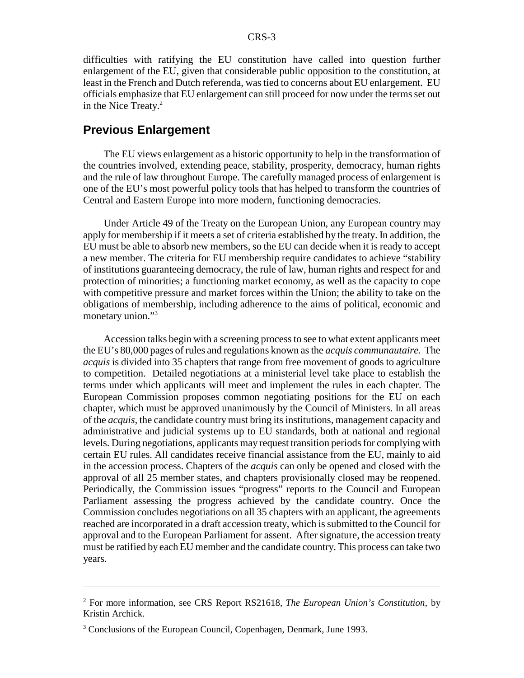difficulties with ratifying the EU constitution have called into question further enlargement of the EU, given that considerable public opposition to the constitution, at least in the French and Dutch referenda, was tied to concerns about EU enlargement. EU officials emphasize that EU enlargement can still proceed for now under the terms set out in the Nice Treaty. $2^2$ 

#### **Previous Enlargement**

The EU views enlargement as a historic opportunity to help in the transformation of the countries involved, extending peace, stability, prosperity, democracy, human rights and the rule of law throughout Europe. The carefully managed process of enlargement is one of the EU's most powerful policy tools that has helped to transform the countries of Central and Eastern Europe into more modern, functioning democracies.

Under Article 49 of the Treaty on the European Union, any European country may apply for membership if it meets a set of criteria established by the treaty. In addition, the EU must be able to absorb new members, so the EU can decide when it is ready to accept a new member. The criteria for EU membership require candidates to achieve "stability of institutions guaranteeing democracy, the rule of law, human rights and respect for and protection of minorities; a functioning market economy, as well as the capacity to cope with competitive pressure and market forces within the Union; the ability to take on the obligations of membership, including adherence to the aims of political, economic and monetary union."<sup>3</sup>

Accession talks begin with a screening process to see to what extent applicants meet the EU's 80,000 pages of rules and regulations known as the *acquis communautaire.* The *acquis* is divided into 35 chapters that range from free movement of goods to agriculture to competition. Detailed negotiations at a ministerial level take place to establish the terms under which applicants will meet and implement the rules in each chapter. The European Commission proposes common negotiating positions for the EU on each chapter, which must be approved unanimously by the Council of Ministers. In all areas of the *acquis,* the candidate country must bring its institutions, management capacity and administrative and judicial systems up to EU standards, both at national and regional levels. During negotiations, applicants may request transition periods for complying with certain EU rules. All candidates receive financial assistance from the EU, mainly to aid in the accession process. Chapters of the *acquis* can only be opened and closed with the approval of all 25 member states, and chapters provisionally closed may be reopened. Periodically, the Commission issues "progress" reports to the Council and European Parliament assessing the progress achieved by the candidate country. Once the Commission concludes negotiations on all 35 chapters with an applicant, the agreements reached are incorporated in a draft accession treaty, which is submitted to the Council for approval and to the European Parliament for assent. After signature, the accession treaty must be ratified by each EU member and the candidate country. This process can take two years.

<sup>2</sup> For more information, see CRS Report RS21618, *The European Union's Constitution*, by Kristin Archick.

<sup>&</sup>lt;sup>3</sup> Conclusions of the European Council, Copenhagen, Denmark, June 1993.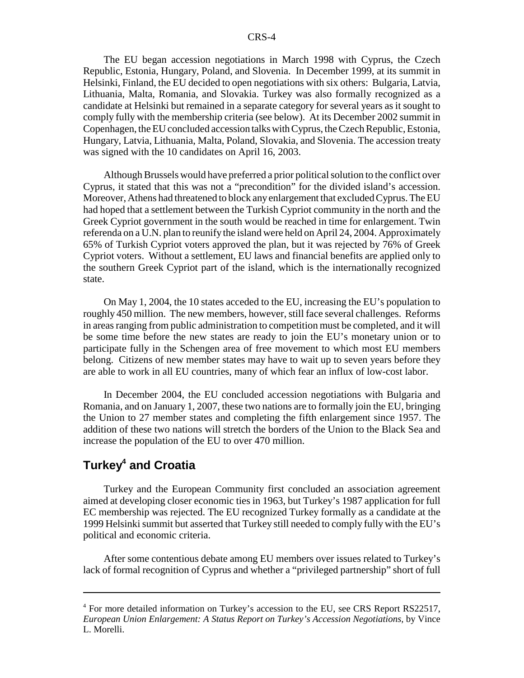The EU began accession negotiations in March 1998 with Cyprus, the Czech Republic, Estonia, Hungary, Poland, and Slovenia. In December 1999, at its summit in Helsinki, Finland, the EU decided to open negotiations with six others: Bulgaria, Latvia, Lithuania, Malta, Romania, and Slovakia. Turkey was also formally recognized as a candidate at Helsinki but remained in a separate category for several years as it sought to comply fully with the membership criteria (see below). At its December 2002 summit in Copenhagen, the EU concluded accession talks with Cyprus, the Czech Republic, Estonia, Hungary, Latvia, Lithuania, Malta, Poland, Slovakia, and Slovenia. The accession treaty was signed with the 10 candidates on April 16, 2003.

Although Brussels would have preferred a prior political solution to the conflict over Cyprus, it stated that this was not a "precondition" for the divided island's accession. Moreover, Athens had threatened to block any enlargement that excluded Cyprus. The EU had hoped that a settlement between the Turkish Cypriot community in the north and the Greek Cypriot government in the south would be reached in time for enlargement. Twin referenda on a U.N. plan to reunify the island were held on April 24, 2004. Approximately 65% of Turkish Cypriot voters approved the plan, but it was rejected by 76% of Greek Cypriot voters. Without a settlement, EU laws and financial benefits are applied only to the southern Greek Cypriot part of the island, which is the internationally recognized state.

On May 1, 2004, the 10 states acceded to the EU, increasing the EU's population to roughly 450 million. The new members, however, still face several challenges. Reforms in areas ranging from public administration to competition must be completed, and it will be some time before the new states are ready to join the EU's monetary union or to participate fully in the Schengen area of free movement to which most EU members belong. Citizens of new member states may have to wait up to seven years before they are able to work in all EU countries, many of which fear an influx of low-cost labor.

In December 2004, the EU concluded accession negotiations with Bulgaria and Romania, and on January 1, 2007, these two nations are to formally join the EU, bringing the Union to 27 member states and completing the fifth enlargement since 1957. The addition of these two nations will stretch the borders of the Union to the Black Sea and increase the population of the EU to over 470 million.

## **Turkey4 and Croatia**

Turkey and the European Community first concluded an association agreement aimed at developing closer economic ties in 1963, but Turkey's 1987 application for full EC membership was rejected. The EU recognized Turkey formally as a candidate at the 1999 Helsinki summit but asserted that Turkey still needed to comply fully with the EU's political and economic criteria.

After some contentious debate among EU members over issues related to Turkey's lack of formal recognition of Cyprus and whether a "privileged partnership" short of full

<sup>&</sup>lt;sup>4</sup> For more detailed information on Turkey's accession to the EU, see CRS Report RS22517, *European Union Enlargement: A Status Report on Turkey's Accession Negotiations,* by Vince L. Morelli.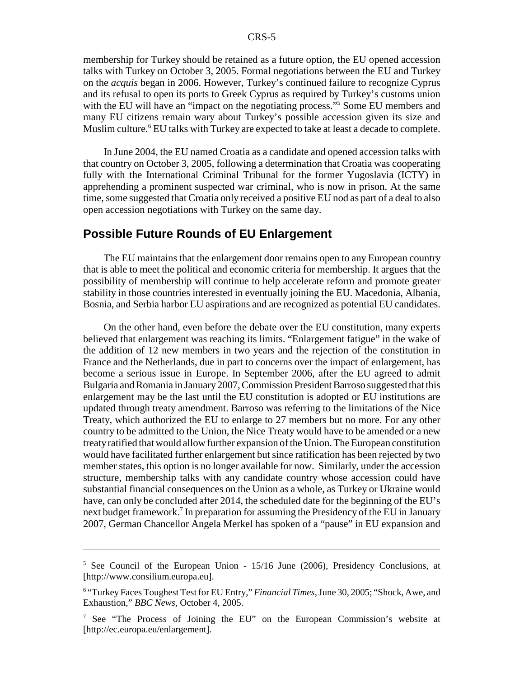membership for Turkey should be retained as a future option, the EU opened accession talks with Turkey on October 3, 2005. Formal negotiations between the EU and Turkey on the *acquis* began in 2006. However, Turkey's continued failure to recognize Cyprus and its refusal to open its ports to Greek Cyprus as required by Turkey's customs union with the EU will have an "impact on the negotiating process."<sup>5</sup> Some EU members and many EU citizens remain wary about Turkey's possible accession given its size and Muslim culture.<sup>6</sup> EU talks with Turkey are expected to take at least a decade to complete.

In June 2004, the EU named Croatia as a candidate and opened accession talks with that country on October 3, 2005, following a determination that Croatia was cooperating fully with the International Criminal Tribunal for the former Yugoslavia (ICTY) in apprehending a prominent suspected war criminal, who is now in prison. At the same time, some suggested that Croatia only received a positive EU nod as part of a deal to also open accession negotiations with Turkey on the same day.

#### **Possible Future Rounds of EU Enlargement**

The EU maintains that the enlargement door remains open to any European country that is able to meet the political and economic criteria for membership. It argues that the possibility of membership will continue to help accelerate reform and promote greater stability in those countries interested in eventually joining the EU. Macedonia, Albania, Bosnia, and Serbia harbor EU aspirations and are recognized as potential EU candidates.

On the other hand, even before the debate over the EU constitution, many experts believed that enlargement was reaching its limits. "Enlargement fatigue" in the wake of the addition of 12 new members in two years and the rejection of the constitution in France and the Netherlands, due in part to concerns over the impact of enlargement, has become a serious issue in Europe. In September 2006, after the EU agreed to admit Bulgaria and Romania in January 2007, Commission President Barroso suggested that this enlargement may be the last until the EU constitution is adopted or EU institutions are updated through treaty amendment. Barroso was referring to the limitations of the Nice Treaty, which authorized the EU to enlarge to 27 members but no more. For any other country to be admitted to the Union, the Nice Treaty would have to be amended or a new treaty ratified that would allow further expansion of the Union. The European constitution would have facilitated further enlargement but since ratification has been rejected by two member states, this option is no longer available for now. Similarly, under the accession structure, membership talks with any candidate country whose accession could have substantial financial consequences on the Union as a whole, as Turkey or Ukraine would have, can only be concluded after 2014, the scheduled date for the beginning of the EU's next budget framework.<sup>7</sup> In preparation for assuming the Presidency of the EU in January 2007, German Chancellor Angela Merkel has spoken of a "pause" in EU expansion and

<sup>5</sup> See Council of the European Union - 15/16 June (2006), Presidency Conclusions, at [http://www.consilium.europa.eu].

<sup>&</sup>lt;sup>6</sup> "Turkey Faces Toughest Test for EU Entry," *Financial Times*, June 30, 2005; "Shock, Awe, and Exhaustion," *BBC News*, October 4, 2005.

<sup>&</sup>lt;sup>7</sup> See "The Process of Joining the EU" on the European Commission's website at [http://ec.europa.eu/enlargement].